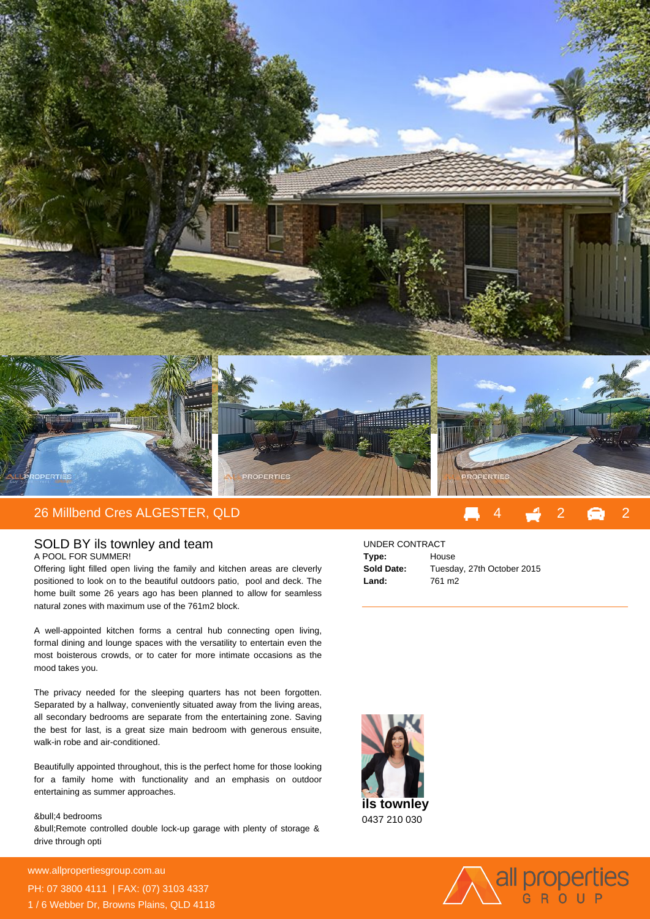

## 26 Millbend Cres ALGESTER, QLD 4 2 2

## SOLD BY ils townley and team

A POOL FOR SUMMER!

Offering light filled open living the family and kitchen areas are cleverly positioned to look on to the beautiful outdoors patio, pool and deck. The home built some 26 years ago has been planned to allow for seamless natural zones with maximum use of the 761m2 block.

A well-appointed kitchen forms a central hub connecting open living, formal dining and lounge spaces with the versatility to entertain even the most boisterous crowds, or to cater for more intimate occasions as the mood takes you.

The privacy needed for the sleeping quarters has not been forgotten. Separated by a hallway, conveniently situated away from the living areas, all secondary bedrooms are separate from the entertaining zone. Saving the best for last, is a great size main bedroom with generous ensuite, walk-in robe and air-conditioned.

Beautifully appointed throughout, this is the perfect home for those looking for a family home with functionality and an emphasis on outdoor entertaining as summer approaches.

## &bull: 4 bedrooms

• Remote controlled double lock-up garage with plenty of storage & drive through opti

**For more details please visit** www.allpropertiesgroup.com.au/<br>2020 PH: 07 3800 4111 | FAX: (07) 3103 4337 1 / 6 Webber Dr, Browns Plains, QLD 4118

## UNDER CONTRACT

| Type:      | House                      |
|------------|----------------------------|
| Sold Date: | Tuesday, 27th October 2015 |
| Land:      | 761 m <sub>2</sub>         |



0437 210 030